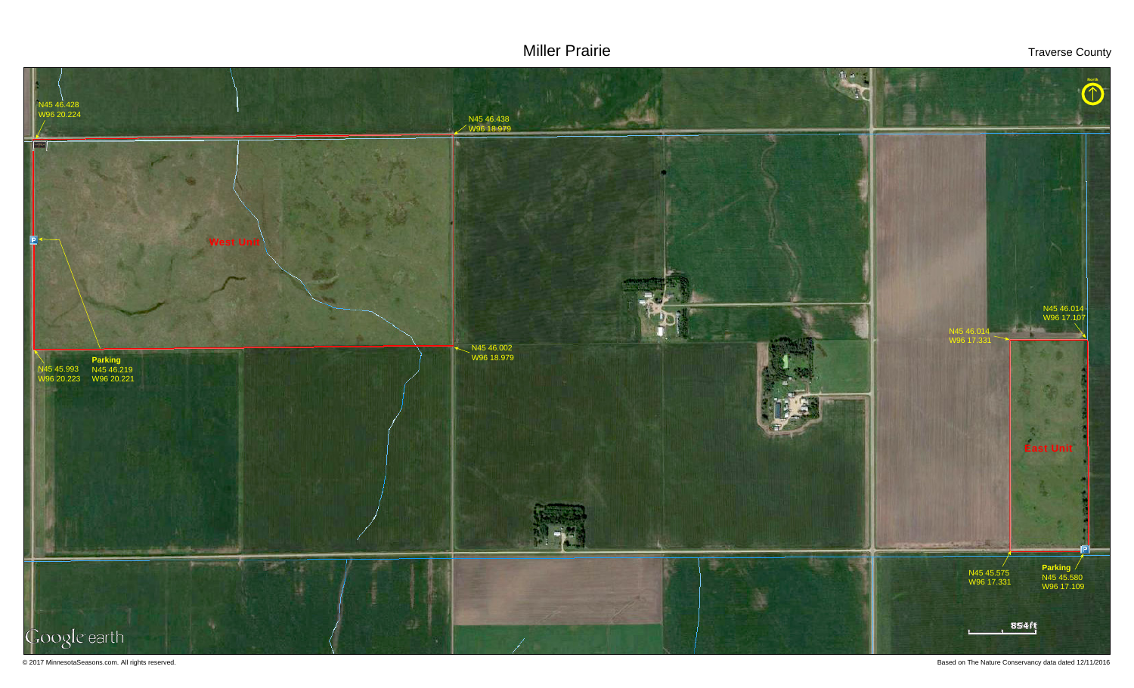# Miller Prairie Traverse County



© 2017 MinnesotaSeasons.com. All rights reserved. Based on The Nature Conservancy data dated 12/11/2016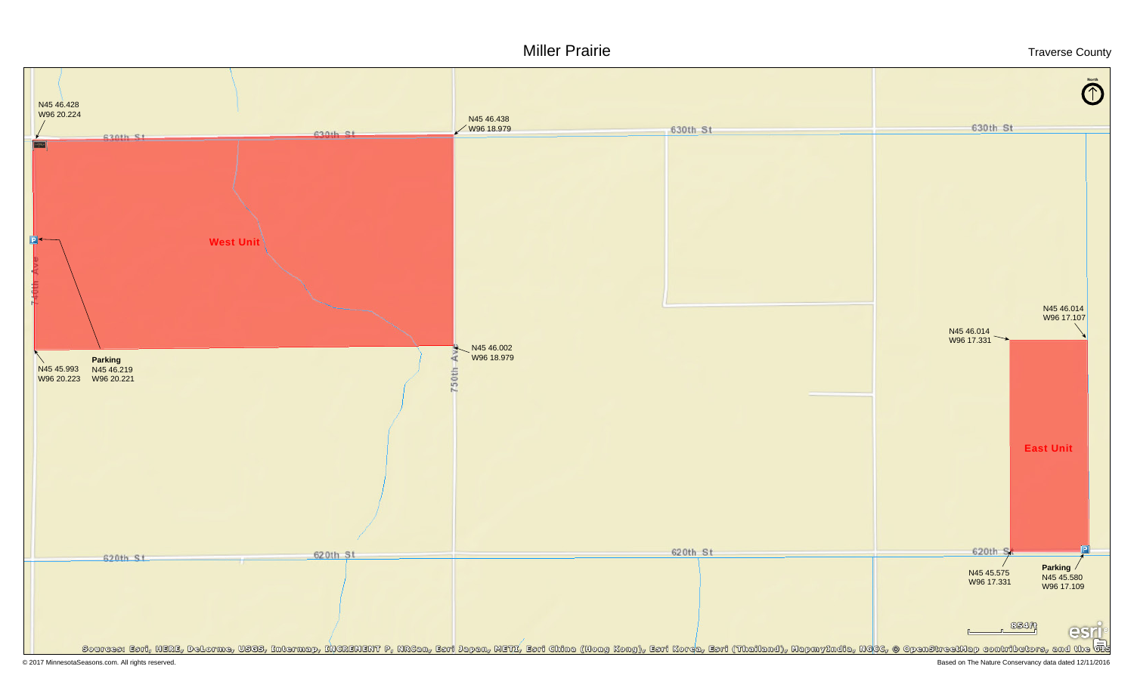